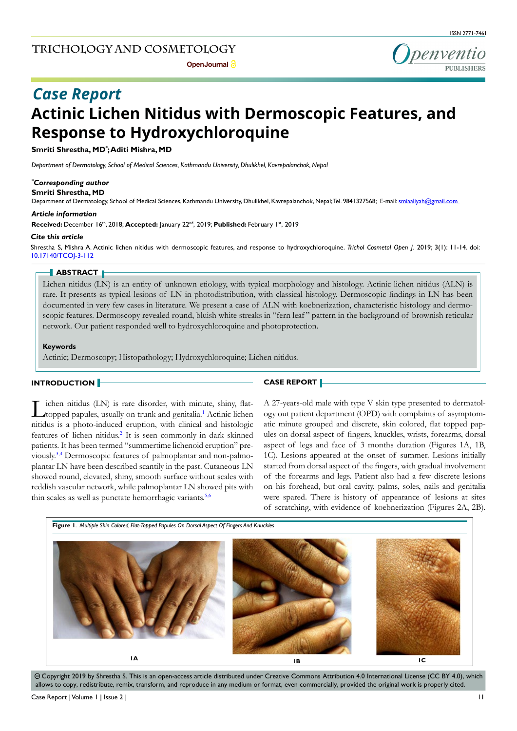penventio

# **Actinic Lichen Nitidus with Dermoscopic Features, and Response to Hydroxychloroquine** *Case Report*

**Smriti Shrestha, MD\* ; Aditi Mishra, MD**

*Department of Dermatology, School of Medical Sciences, Kathmandu University, Dhulikhel, Kavrepalanchok, Nepal*

# *\* Corresponding author*

**Smriti Shrestha, MD**

Department of Dermatology, School of Medical Sciences, Kathmandu University, Dhulikhel, Kavrepalanchok, Nepal; Tel. 9841327568; E-mail: smiaaliyah@gmail.com

#### *Article information*

**Received:** December 16th, 2018; **Accepted:** January 22nd, 2019; **Published:** February 1st, 2019

#### *Cite this article*

Shrestha S, Mishra A. Actinic lichen nitidus with dermoscopic features, and response to hydroxychloroquine. *Trichol Cosmetol Open J.* 2019; 3(1): 11-14. doi: 10.17140/TCOJ-3-112

#### **ABSTRACT**

Lichen nitidus (LN) is an entity of unknown etiology, with typical morphology and histology. Actinic lichen nitidus (ALN) is rare. It presents as typical lesions of LN in photodistribution, with classical histology. Dermoscopic findings in LN has been documented in very few cases in literature. We present a case of ALN with koebnerization, characteristic histology and dermoscopic features. Dermoscopy revealed round, bluish white streaks in "fern leaf " pattern in the background of brownish reticular network. Our patient responded well to hydroxychloroquine and photoprotection.

#### **Keywords**

Actinic; Dermoscopy; Histopathology; Hydroxychloroquine; Lichen nitidus.

## **INTRODUCTION**

**CASE REPORT**

ichen nitidus (LN) is rare disorder, with minute, shiny, flat-topped papules, usually on trunk and genitalia.<sup>[1](#page-2-0)</sup> Actinic lichen nitidus is a photo-induced eruption, with clinical and histologic features of lichen nitidus.<sup>[2](#page-2-1)</sup> It is seen commonly in dark skinned patients. It has been termed "summertime lichenoid eruption" previously.[3,4](#page-2-2) Dermoscopic features of palmoplantar and non-palmoplantar LN have been described scantily in the past. Cutaneous LN showed round, elevated, shiny, smooth surface without scales with reddish vascular network, while palmoplantar LN showed pits with thin scales as well as punctate hemorrhagic variants.<sup>[5,6](#page-2-3)</sup>

A 27-years-old male with type V skin type presented to dermatology out patient department (OPD) with complaints of asymptomatic minute grouped and discrete, skin colored, flat topped papules on dorsal aspect of fingers, knuckles, wrists, forearms, dorsal aspect of legs and face of 3 months duration (Figures 1A, 1B, 1C). Lesions appeared at the onset of summer. Lesions initially started from dorsal aspect of the fingers, with gradual involvement of the forearms and legs. Patient also had a few discrete lesions on his forehead, but oral cavity, palms, soles, nails and genitalia were spared. There is history of appearance of lesions at sites of scratching, with evidence of koebnerization (Figures 2A, 2B).



 $\circledcirc$  Copyright 2019 by Shrestha S. This is an open-access article distributed under Creative Commons Attribution 4.0 International License (CC BY 4.0), which allows to copy, redistribute, remix, transform, and reproduce in any medium or format, even commercially, provided the original work is properly cited.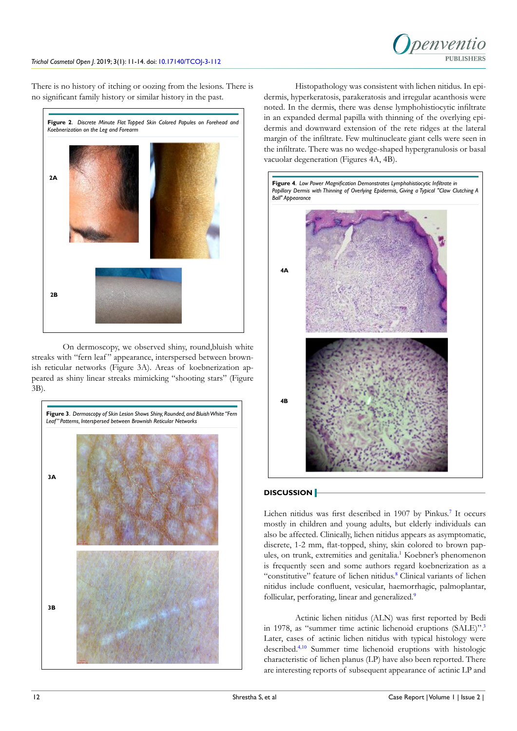

There is no history of itching or oozing from the lesions. There is no significant family history or similar history in the past.



On dermoscopy, we observed shiny, round,bluish white streaks with "fern leaf" appearance, interspersed between brownish reticular networks (Figure 3A). Areas of koebnerization appeared as shiny linear streaks mimicking "shooting stars" (Figure 3B).



Histopathology was consistent with lichen nitidus. In epidermis, hyperkeratosis, parakeratosis and irregular acanthosis were noted. In the dermis, there was dense lymphohistiocytic infiltrate in an expanded dermal papilla with thinning of the overlying epidermis and downward extension of the rete ridges at the lateral margin of the infiltrate. Few multinucleate giant cells were seen in the infiltrate. There was no wedge-shaped hypergranulosis or basal vacuolar degeneration (Figures 4A, 4B).



# **DISCUSSION**

Lichen nitidus was first described in 190[7](#page-2-4) by Pinkus.<sup>7</sup> It occurs mostly in children and young adults, but elderly individuals can also be affected. Clinically, lichen nitidus appears as asymptomatic, discrete, 1-2 mm, flat-topped, shiny, skin colored to brown pap-ules, on trunk, extremities and genitalia.<sup>[1](#page-2-0)</sup> Koebner's phenomenon is frequently seen and some authors regard koebnerization as a "constitutive" feature of lichen nitidus.<sup>[8](#page-2-5)</sup> Clinical variants of lichen nitidus include confluent, vesicular, haemorrhagic, palmoplantar, follicular, perforating, linear and generalized.<sup>[9](#page-2-6)</sup>

Actinic lichen nitidus (ALN) was first reported by Bedi in 1978, as "summer time actinic lichenoid eruptions (SALE)".<sup>[3](#page-2-2)</sup> Later, cases of actinic lichen nitidus with typical histology were described.[4,](#page-2-7)[10](#page-2-8) Summer time lichenoid eruptions with histologic characteristic of lichen planus (LP) have also been reported. There are interesting reports of subsequent appearance of actinic LP and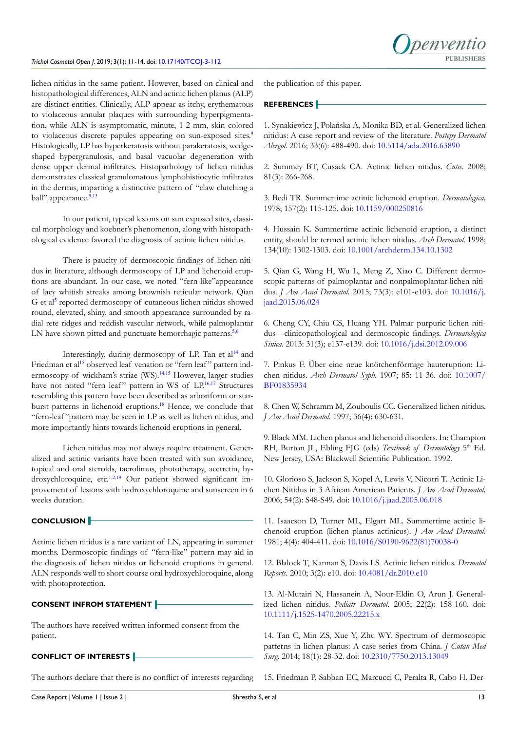lichen nitidus in the same patient. However, based on clinical and histopathological differences, ALN and actinic lichen planus (ALP) are distinct entities. Clinically, ALP appear as itchy, erythematous to violaceous annular plaques with surrounding hyperpigmentation, while ALN is asymptomatic, minute, 1-2 mm, skin colored to violaceous discrete papules appearing on sun-exposed sites.<sup>[9](#page-2-6)</sup> Histologically, LP has hyperkeratosis without parakeratosis, wedgeshaped hypergranulosis, and basal vacuolar degeneration with dense upper dermal infiltrates. Histopathology of lichen nitidus demonstrates classical granulomatous lymphohistiocytic infiltrates in the dermis, imparting a distinctive pattern of "claw clutching a ball" appearance.<sup>[9,](#page-2-6)[13](#page-2-9)</sup>

In our patient, typical lesions on sun exposed sites, classical morphology and koebner's phenomenon, along with histopathological evidence favored the diagnosis of actinic lichen nitidus.

There is paucity of dermoscopic findings of lichen nitidus in literature, although dermoscopy of LP and lichenoid eruptions are abundant. In our case, we noted "fern-like"appearance of lacy whitish streaks among brownish reticular network. Qian G et al<sup>[5](#page-2-3)</sup> reported dermoscopy of cutaneous lichen nitidus showed round, elevated, shiny, and smooth appearance surrounded by radial rete ridges and reddish vascular network, while palmoplantar LN have shown pitted and punctuate hemorrhagic patterns.<sup>[5,6](#page-2-3)</sup>

Interestingly, during dermoscopy of LP, Tan et al<sup>[14](#page-2-10)</sup> and Friedman et al<sup>[15](#page-2-11)</sup> observed leaf venation or "fern leaf" pattern ind-ermoscopy of wickham's striae (WS).<sup>[14,15](#page-2-10)</sup> However, larger studies have not noted "fern leaf" pattern in WS of LP.<sup>[16,17](#page-3-0)</sup> Structures resembling this pattern have been described as arboriform or star-burst patterns in lichenoid eruptions.<sup>[18](#page-3-1)</sup> Hence, we conclude that "fern-leaf "pattern may be seen in LP as well as lichen nitidus, and more importantly hints towards lichenoid eruptions in general.

Lichen nitidus may not always require treatment. Generalized and actinic variants have been treated with sun avoidance, topical and oral steroids, tacrolimus, phototherapy, acetretin, hy-droxychloroquine, etc.<sup>[1,2,](#page-2-0)[19](#page-3-2)</sup> Our patient showed significant improvement of lesions with hydroxychloroquine and sunscreen in 6 weeks duration.

# **CONCLUSION**

Actinic lichen nitidus is a rare variant of LN, appearing in summer months. Dermoscopic findings of "fern-like" pattern may aid in the diagnosis of lichen nitidus or lichenoid eruptions in general. ALN responds well to short course oral hydroxychloroquine, along with photoprotection.

## **CONSENT INFROM STATEMENT**

The authors have received written informed consent from the patient.

# **CONFLICT OF INTERESTS**

The authors declare that there is no conflict of interests regarding

the publication of this paper.

## **REFERENCES**

<span id="page-2-0"></span>1. Synakiewicz J, Polańska A, Monika BD, et al. Generalized lichen nitidus: A case report and review of the literature. *Postepy Dermatol Alergol*. 2016; 33(6): 488-490. doi: [10.5114/ada.2016.63890](https://doi.org/10.5114/ada.2016.63890)

<span id="page-2-1"></span>2. Summey BT, Cusack CA. Actinic lichen nitidus. *Cutis*. 2008; 81(3): 266-268.

<span id="page-2-2"></span>3. Bedi TR. Summertime actinic lichenoid eruption. *Dermatologica*. 1978; 157(2): 115-125. doi: [10.1159/000250816](https://doi.org/10.1159/000250816)

<span id="page-2-7"></span>4. Hussain K. Summertime actinic lichenoid eruption, a distinct entity, should be termed actinic lichen nitidus. *Arch Dermatol*. 1998; 134(10): 1302-1303. doi: [10.1001/archderm.134.10.1302](https://doi.org/10.1001/archderm.134.10.1302)

<span id="page-2-3"></span>5. Qian G, Wang H, Wu L, Meng Z, Xiao C. Different dermoscopic patterns of palmoplantar and nonpalmoplantar lichen nitidus. *J Am Acad Dermatol*. 2015; 73(3): e101-e103. doi: [10.1016/j.](https://doi.org/10.1016/j.jaad.2015.06.024) [jaad.2015.06.024](https://doi.org/10.1016/j.jaad.2015.06.024)

6. Cheng CY, Chiu CS, Huang YH. Palmar purpuric lichen nitidus—clinicopathological and dermoscopic findings. *Dermatologica Sinica*. 2013: 31(3); e137-e139. doi: [10.1016/j.dsi.2012.09.006](https://doi.org/10.1016/j.dsi.2012.09.006)

<span id="page-2-4"></span>7. Pinkus F. Über eine neue knötchenförmige hauteruption: Lichen nitidus. *Arch Dermatol Syph.* 1907; 85: 11-36. doi: [10.1007/](https://doi.org/10.1007/BF01835934) [BF01835934](https://doi.org/10.1007/BF01835934)

<span id="page-2-5"></span>8. Chen W, Schramm M, Zouboulis CC. Generalized lichen nitidus. *J Am Acad Dermatol*. 1997; 36(4): 630-631.

<span id="page-2-6"></span>9. Black MM. Lichen planus and lichenoid disorders. In: Champion RH, Burton JL, Ebling FJG (eds) *Textbook of Dermatology* 5<sup>th</sup> Ed. New Jersey, USA: Blackwell Scientific Publication. 1992.

<span id="page-2-8"></span>10. Glorioso S, Jackson S, Kopel A, Lewis V, Nicotri T. Actinic Lichen Nitidus in 3 African American Patients. *J Am Acad Dermatol.* 2006; 54(2): S48-S49. doi: [10.1016/j.jaad.2005.06.018](https://doi.org/10.1016/j.jaad.2005.06.018)

11. Isaacson D, Turner ML, Elgart ML. Summertime actinic lichenoid eruption (lichen planus actinicus). *J Am Acad Dermatol*. 1981; 4(4): 404-411. doi: [10.1016/S0190-9622\(81\)70038-0](https://doi.org/10.1016/S0190-9622%2881%2970038-0)

12. Blalock T, Kannan S, Davis LS. Actinic lichen nitidus. *Dermatol Reports*. 2010; 3(2): e10. doi: [10.4081/dr.2010.e10](https://doi.org/10.4081/dr.2010.e10)

<span id="page-2-9"></span>13. Al-Mutairi N, Hassanein A, Nour-Eldin O, Arun J. Generalized lichen nitidus. *Pediatr Dermatol*. 2005; 22(2): 158-160. doi: [10.1111/j.1525-1470.2005.22215.x](https://doi.org/10.1111/j.1525-1470.2005.22215.x)

<span id="page-2-10"></span>14. Tan C, Min ZS, Xue Y, Zhu WY. Spectrum of dermoscopic patterns in lichen planus: A case series from China. *J Cutan Med Surg*. 2014; 18(1): 28-32. doi: [10.2310/7750.2013.13049](https://doi.org/10.2310/7750.2013.13049)

<span id="page-2-11"></span>15. Friedman P, Sabban EC, Marcucci C, Peralta R, Cabo H. Der-